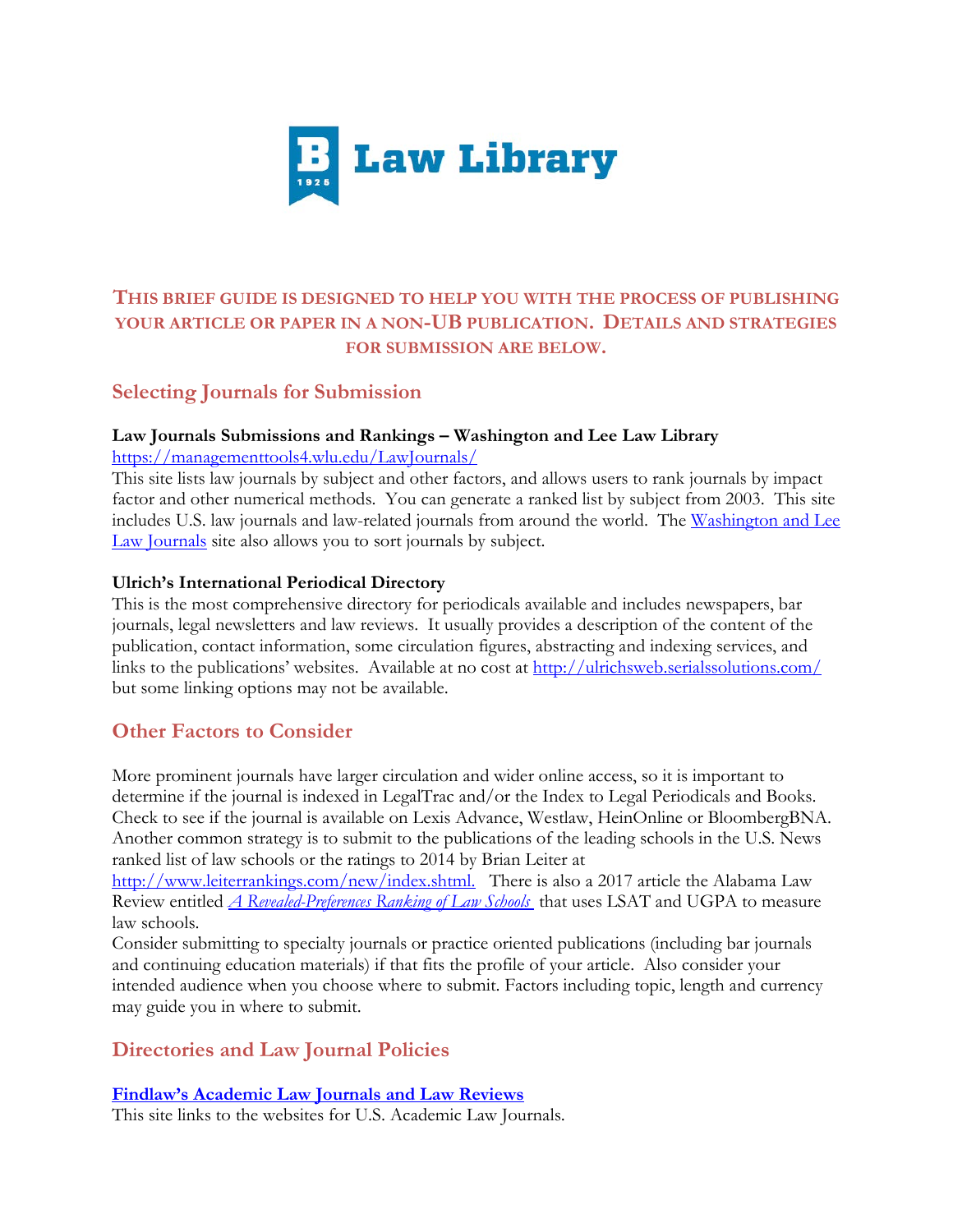

# **THIS BRIEF GUIDE IS DESIGNED TO HELP YOU WITH THE PROCESS OF PUBLISHING YOUR ARTICLE OR PAPER IN A NON-UB PUBLICATION. DETAILS AND STRATEGIES FOR SUBMISSION ARE BELOW.**

# **Selecting Journals for Submission**

### **Law Journals Submissions and Rankings – Washington and Lee Law Library** <https://managementtools4.wlu.edu/LawJournals/>

This site lists law journals by subject and other factors, and allows users to rank journals by impact factor and other numerical methods. You can generate a ranked list by subject from 2003. This site includes U.S. law journals and law-related journals from around the world. The Washington and Lee [Law Journals](https://managementtools4.wlu.edu/LawJournals/) site also allows you to sort journals by subject.

### **Ulrich's International Periodical Directory**

This is the most comprehensive directory for periodicals available and includes newspapers, bar journals, legal newsletters and law reviews. It usually provides a description of the content of the publication, contact information, some circulation figures, abstracting and indexing services, and links to the publications' websites. Available at no cost at<http://ulrichsweb.serialssolutions.com/> but some linking options may not be available.

# **Other Factors to Consider**

More prominent journals have larger circulation and wider online access, so it is important to determine if the journal is indexed in LegalTrac and/or the Index to Legal Periodicals and Books. Check to see if the journal is available on Lexis Advance, Westlaw, HeinOnline or BloombergBNA. Another common strategy is to submit to the publications of the leading schools in the U.S. News ranked list of law schools or the ratings to 2014 by Brian Leiter at

[http://www.leiterrankings.com/new/index.shtml.](http://www.leiterrankings.com/new/index.shtml) There is also a 2017 article the Alabama Law Review entitled *[A Revealed-Preferences Ranking of Law Schools](https://papers.ssrn.com/sol3/Papers.cfm?abstract_id=2933274)* that uses LSAT and UGPA to measure law schools.

Consider submitting to specialty journals or practice oriented publications (including bar journals and continuing education materials) if that fits the profile of your article. Also consider your intended audience when you choose where to submit. Factors including topic, length and currency may guide you in where to submit.

# **Directories and Law Journal Policies**

### **[Findlaw's Academic Law Journals and Law Reviews](http://lawstudents.findlaw.com/surviving-law-school/law-reviews-information-and-index.html)**

This site links to the websites for U.S. Academic Law Journals.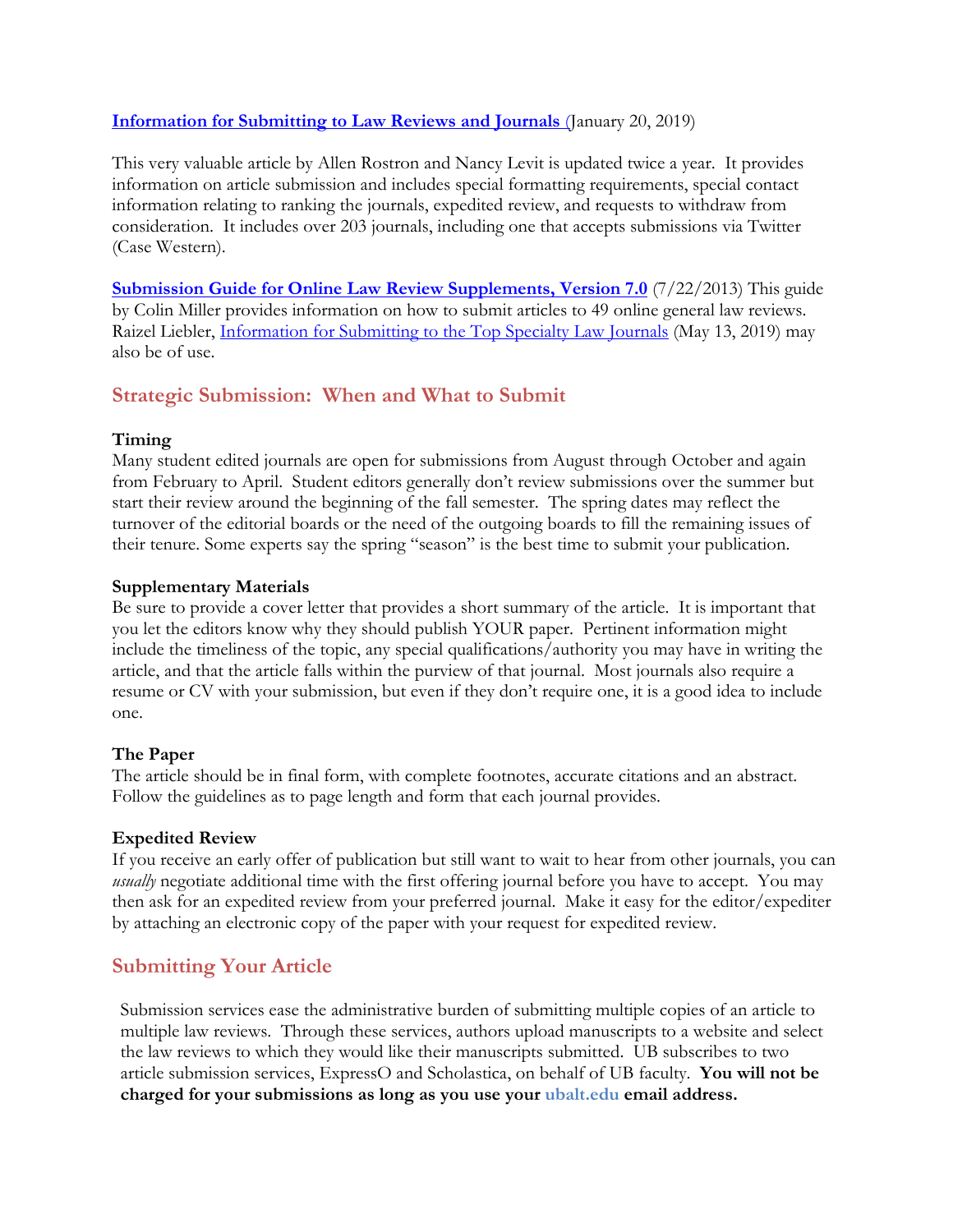### **[Information for Submitting to Law Reviews and Journals](https://papers.ssrn.com/sol3/papers.cfm?abstract_id=1019029)** (January 20, 2019)

This very valuable article by Allen Rostron and Nancy Levit is updated twice a year. It provides information on article submission and includes special formatting requirements, special contact information relating to ranking the journals, expedited review, and requests to withdraw from consideration. It includes over 203 journals, including one that accepts submissions via Twitter (Case Western).

**[Submission Guide for Online Law Review Supplements, Version 7.0](https://papers.ssrn.com/sol3/papers.cfm?abstract_id=1410093)** (7/22/2013) This guide by Colin Miller provides information on how to submit articles to 49 online general law reviews. Raizel Liebler, *[Information for Submitting to the Top Specialty Law Journals](https://papers.ssrn.com/sol3/papers.cfm?abstract_id=3387635)* (May 13, 2019) may also be of use.

## **Strategic Submission: When and What to Submit**

#### **Timing**

Many student edited journals are open for submissions from August through October and again from February to April. Student editors generally don't review submissions over the summer but start their review around the beginning of the fall semester. The spring dates may reflect the turnover of the editorial boards or the need of the outgoing boards to fill the remaining issues of their tenure. Some experts say the spring "season" is the best time to submit your publication.

### **Supplementary Materials**

Be sure to provide a cover letter that provides a short summary of the article. It is important that you let the editors know why they should publish YOUR paper. Pertinent information might include the timeliness of the topic, any special qualifications/authority you may have in writing the article, and that the article falls within the purview of that journal. Most journals also require a resume or CV with your submission, but even if they don't require one, it is a good idea to include one.

#### **The Paper**

The article should be in final form, with complete footnotes, accurate citations and an abstract. Follow the guidelines as to page length and form that each journal provides.

#### **Expedited Review**

If you receive an early offer of publication but still want to wait to hear from other journals, you can *usually* negotiate additional time with the first offering journal before you have to accept. You may then ask for an expedited review from your preferred journal. Make it easy for the editor/expediter by attaching an electronic copy of the paper with your request for expedited review.

# **Submitting Your Article**

Submission services ease the administrative burden of submitting multiple copies of an article to multiple law reviews. Through these services, authors upload manuscripts to a website and select the law reviews to which they would like their manuscripts submitted. UB subscribes to two article submission services, ExpressO and Scholastica, on behalf of UB faculty. **You will not be charged for your submissions as long as you use your ubalt.edu email address.**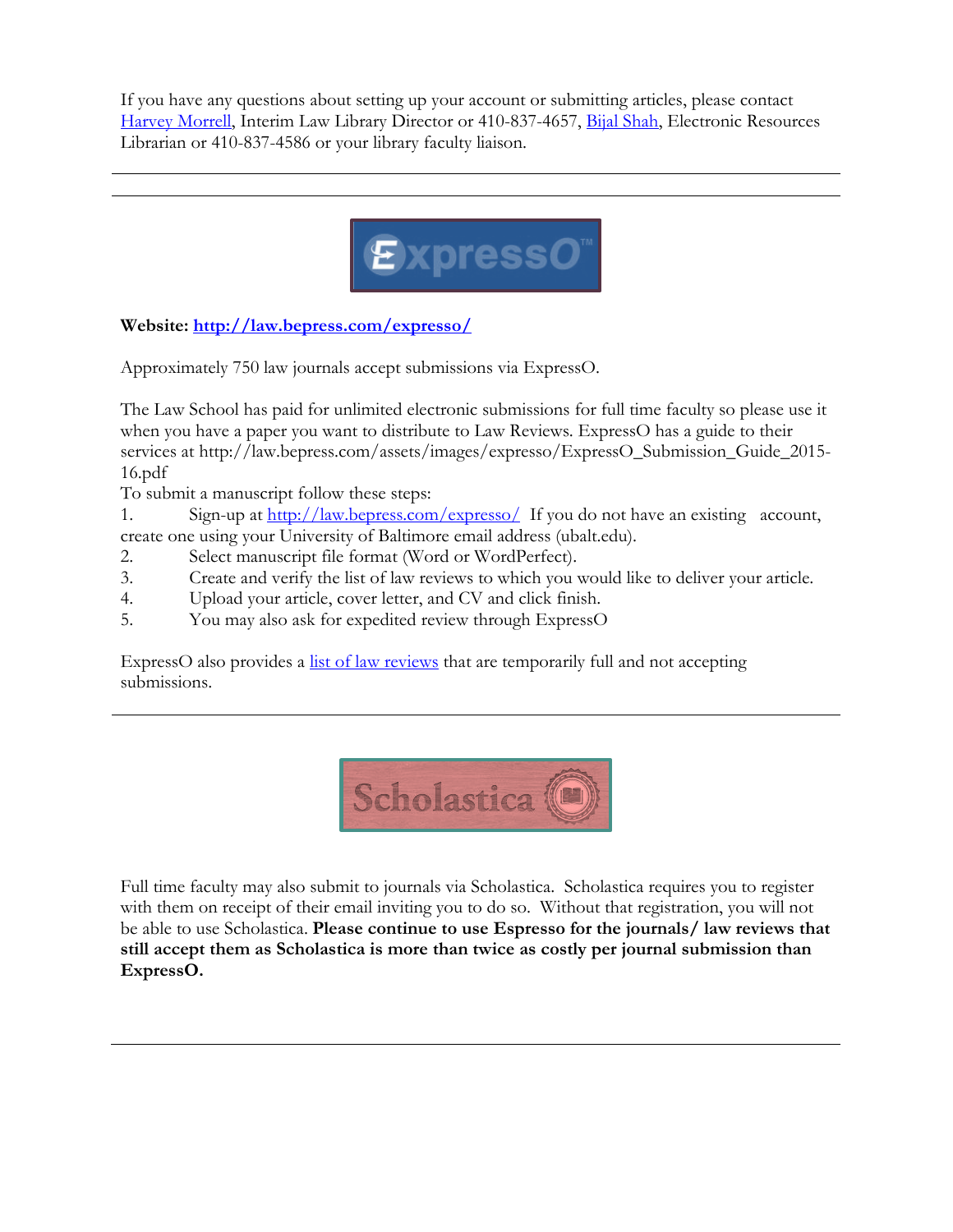If you have any questions about setting up your account or submitting articles, please contact [Harvey Morrell,](mailto:hmorrell@ubalt.edu) Interim Law Library Director or 410-837-4657, [Bijal Shah,](mailto:bshah@ubalt.edu) Electronic Resources Librarian or 410-837-4586 or your library faculty liaison.



**Website: <http://law.bepress.com/expresso/>**

Approximately 750 law journals accept submissions via ExpressO.

The Law School has paid for unlimited electronic submissions for full time faculty so please use it when you have a paper you want to distribute to Law Reviews. ExpressO has a guide to their services at http://law.bepress.com/assets/images/expresso/ExpressO\_Submission\_Guide\_2015- 16.pdf

To submit a manuscript follow these steps:

1. Sign-up at<http://law.bepress.com/expresso/>If you do not have an existing account, create one using your University of Baltimore email address (ubalt.edu).

- 2. Select manuscript file format (Word or WordPerfect).
- 3. Create and verify the list of law reviews to which you would like to deliver your article.
- 4. Upload your article, cover letter, and CV and click finish.
- 5. You may also ask for expedited review through ExpressO

ExpressO also provides a <u>list of law reviews</u> that are temporarily full and not accepting submissions.



Full time faculty may also submit to journals via Scholastica. Scholastica requires you to register with them on receipt of their email inviting you to do so. Without that registration, you will not be able to use Scholastica. **Please continue to use Espresso for the journals/ law reviews that still accept them as Scholastica is more than twice as costly per journal submission than ExpressO.**